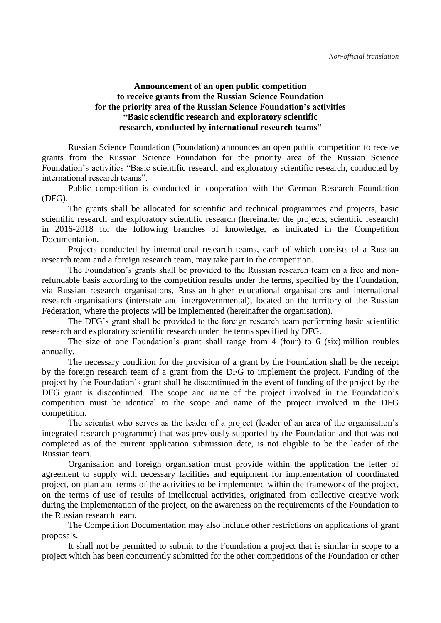## **Announcement of an open public competition to receive grants from the Russian Science Foundation for the priority area of the Russian Science Foundation's activities "Basic scientific research and exploratory scientific research, conducted by international research teams"**

Russian Science Foundation (Foundation) announces an open public competition to receive grants from the Russian Science Foundation for the priority area of the Russian Science Foundation's activities "Basic scientific research and exploratory scientific research, conducted by international research teams".

Public competition is conducted in cooperation with the German Research Foundation (DFG).

The grants shall be allocated for scientific and technical programmes and projects, basic scientific research and exploratory scientific research (hereinafter the projects, scientific research) in 2016-2018 for the following branches of knowledge, as indicated in the Competition Documentation.

Projects conducted by international research teams, each of which consists of a Russian research team and a foreign research team, may take part in the competition.

The Foundation's grants shall be provided to the Russian research team on a free and nonrefundable basis according to the competition results under the terms, specified by the Foundation, via Russian research organisations, Russian higher educational organisations and international research organisations (interstate and intergovernmental), located on the territory of the Russian Federation, where the projects will be implemented (hereinafter the organisation).

The DFG's grant shall be provided to the foreign research team performing basic scientific research and exploratory scientific research under the terms specified by DFG.

The size of one Foundation's grant shall range from 4 (four) to 6 (six) million roubles annually.

The necessary condition for the provision of a grant by the Foundation shall be the receipt by the foreign research team of a grant from the DFG to implement the project. Funding of the project by the Foundation's grant shall be discontinued in the event of funding of the project by the DFG grant is discontinued. The scope and name of the project involved in the Foundation's competition must be identical to the scope and name of the project involved in the DFG competition.

The scientist who serves as the leader of a project (leader of an area of the organisation's integrated research programme) that was previously supported by the Foundation and that was not completed as of the current application submission date, is not eligible to be the leader of the Russian team.

Organisation and foreign organisation must provide within the application the letter of agreement to supply with necessary facilities and equipment for implementation of coordinated project, on plan and terms of the activities to be implemented within the framework of the project, on the terms of use of results of intellectual activities, originated from collective creative work during the implementation of the project, on the awareness on the requirements of the Foundation to the Russian research team.

The Competition Documentation may also include other restrictions on applications of grant proposals.

It shall not be permitted to submit to the Foundation a project that is similar in scope to a project which has been concurrently submitted for the other competitions of the Foundation or other